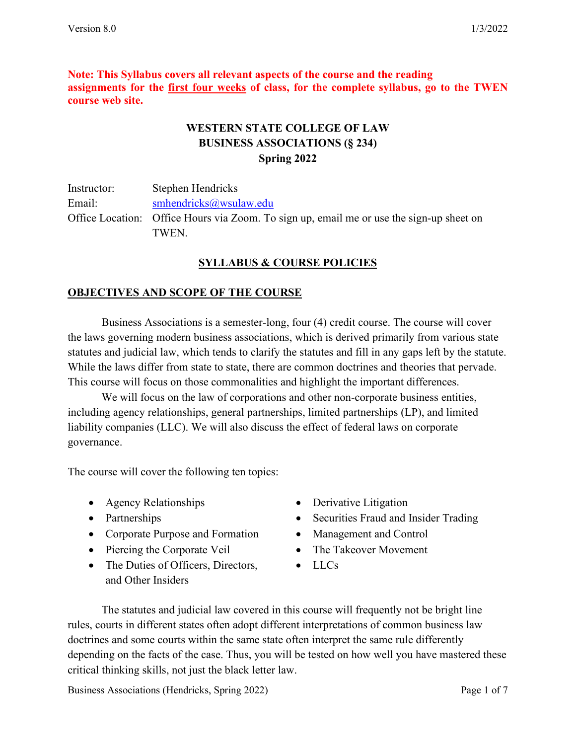**Note: This Syllabus covers all relevant aspects of the course and the reading assignments for the first four weeks of class, for the complete syllabus, go to the TWEN course web site.**

# **WESTERN STATE COLLEGE OF LAW BUSINESS ASSOCIATIONS (§ 234) Spring 2022**

Instructor: Stephen Hendricks Email: [smhendricks@wsulaw.edu](mailto:smhendricks@wsulaw.edu) Office Location: Office Hours via Zoom. To sign up, email me or use the sign-up sheet on TWEN.

# **SYLLABUS & COURSE POLICIES**

## **OBJECTIVES AND SCOPE OF THE COURSE**

Business Associations is a semester-long, four (4) credit course. The course will cover the laws governing modern business associations, which is derived primarily from various state statutes and judicial law, which tends to clarify the statutes and fill in any gaps left by the statute. While the laws differ from state to state, there are common doctrines and theories that pervade. This course will focus on those commonalities and highlight the important differences.

We will focus on the law of corporations and other non-corporate business entities, including agency relationships, general partnerships, limited partnerships (LP), and limited liability companies (LLC). We will also discuss the effect of federal laws on corporate governance.

The course will cover the following ten topics:

- Agency Relationships
- Partnerships
- Corporate Purpose and Formation
- Piercing the Corporate Veil
- The Duties of Officers, Directors, and Other Insiders
- Derivative Litigation
- Securities Fraud and Insider Trading
- Management and Control
- The Takeover Movement
- LLCs

The statutes and judicial law covered in this course will frequently not be bright line rules, courts in different states often adopt different interpretations of common business law doctrines and some courts within the same state often interpret the same rule differently depending on the facts of the case. Thus, you will be tested on how well you have mastered these critical thinking skills, not just the black letter law.

Business Associations (Hendricks, Spring 2022) Page 1 of 7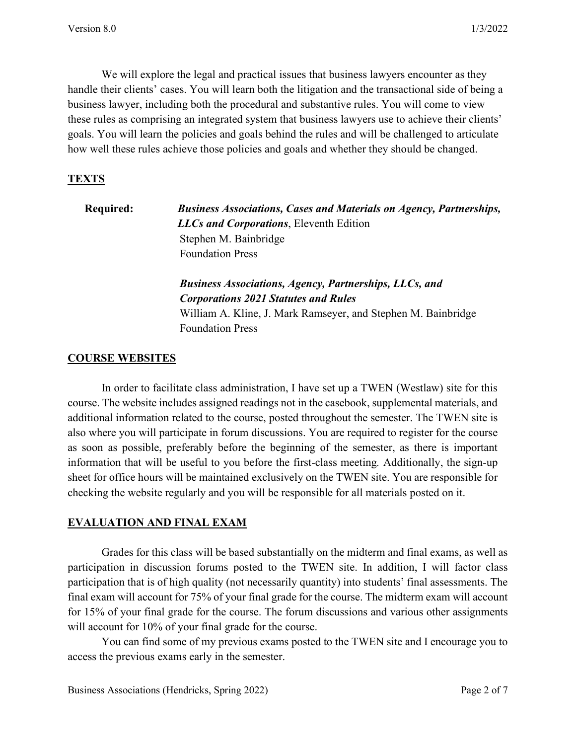We will explore the legal and practical issues that business lawyers encounter as they handle their clients' cases. You will learn both the litigation and the transactional side of being a business lawyer, including both the procedural and substantive rules. You will come to view these rules as comprising an integrated system that business lawyers use to achieve their clients' goals. You will learn the policies and goals behind the rules and will be challenged to articulate how well these rules achieve those policies and goals and whether they should be changed.

#### **TEXTS**

**Required:** *Business Associations, Cases and Materials on Agency, Partnerships, LLCs and Corporations*, Eleventh Edition Stephen M. Bainbridge Foundation Press

> *Business Associations, Agency, Partnerships, LLCs, and Corporations 2021 Statutes and Rules* William A. Kline, J. Mark Ramseyer, and Stephen M. Bainbridge Foundation Press

#### **COURSE WEBSITES**

In order to facilitate class administration, I have set up a TWEN (Westlaw) site for this course. The website includes assigned readings not in the casebook, supplemental materials, and additional information related to the course, posted throughout the semester. The TWEN site is also where you will participate in forum discussions. You are required to register for the course as soon as possible, preferably before the beginning of the semester, as there is important information that will be useful to you before the first-class meeting*.* Additionally, the sign-up sheet for office hours will be maintained exclusively on the TWEN site. You are responsible for checking the website regularly and you will be responsible for all materials posted on it.

#### **EVALUATION AND FINAL EXAM**

Grades for this class will be based substantially on the midterm and final exams, as well as participation in discussion forums posted to the TWEN site. In addition, I will factor class participation that is of high quality (not necessarily quantity) into students' final assessments. The final exam will account for 75% of your final grade for the course. The midterm exam will account for 15% of your final grade for the course. The forum discussions and various other assignments will account for 10% of your final grade for the course.

You can find some of my previous exams posted to the TWEN site and I encourage you to access the previous exams early in the semester.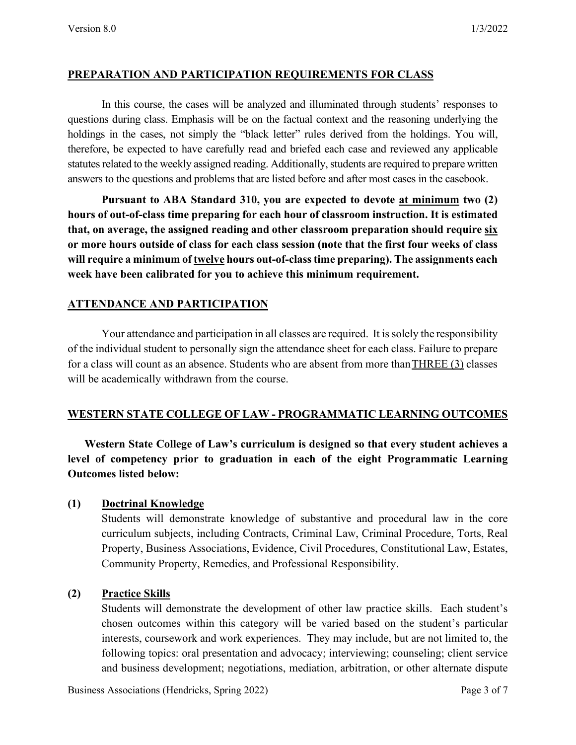#### **PREPARATION AND PARTICIPATION REQUIREMENTS FOR CLASS**

In this course, the cases will be analyzed and illuminated through students' responses to questions during class. Emphasis will be on the factual context and the reasoning underlying the holdings in the cases, not simply the "black letter" rules derived from the holdings. You will, therefore, be expected to have carefully read and briefed each case and reviewed any applicable statutes related to the weekly assigned reading. Additionally, students are required to prepare written answers to the questions and problems that are listed before and after most cases in the casebook.

**Pursuant to ABA Standard 310, you are expected to devote at minimum two (2) hours of out-of-class time preparing for each hour of classroom instruction. It is estimated that, on average, the assigned reading and other classroom preparation should require six or more hours outside of class for each class session (note that the first four weeks of class will require a minimum of twelve hours out-of-class time preparing). The assignments each week have been calibrated for you to achieve this minimum requirement.**

### **ATTENDANCE AND PARTICIPATION**

Your attendance and participation in all classes are required. It issolely the responsibility of the individual student to personally sign the attendance sheet for each class. Failure to prepare for a class will count as an absence. Students who are absent from more than THREE (3) classes will be academically withdrawn from the course.

### **WESTERN STATE COLLEGE OF LAW - PROGRAMMATIC LEARNING OUTCOMES**

**Western State College of Law's curriculum is designed so that every student achieves a level of competency prior to graduation in each of the eight Programmatic Learning Outcomes listed below:**

#### **(1) Doctrinal Knowledge**

Students will demonstrate knowledge of substantive and procedural law in the core curriculum subjects, including Contracts, Criminal Law, Criminal Procedure, Torts, Real Property, Business Associations, Evidence, Civil Procedures, Constitutional Law, Estates, Community Property, Remedies, and Professional Responsibility.

### **(2) Practice Skills**

Students will demonstrate the development of other law practice skills. Each student's chosen outcomes within this category will be varied based on the student's particular interests, coursework and work experiences. They may include, but are not limited to, the following topics: oral presentation and advocacy; interviewing; counseling; client service and business development; negotiations, mediation, arbitration, or other alternate dispute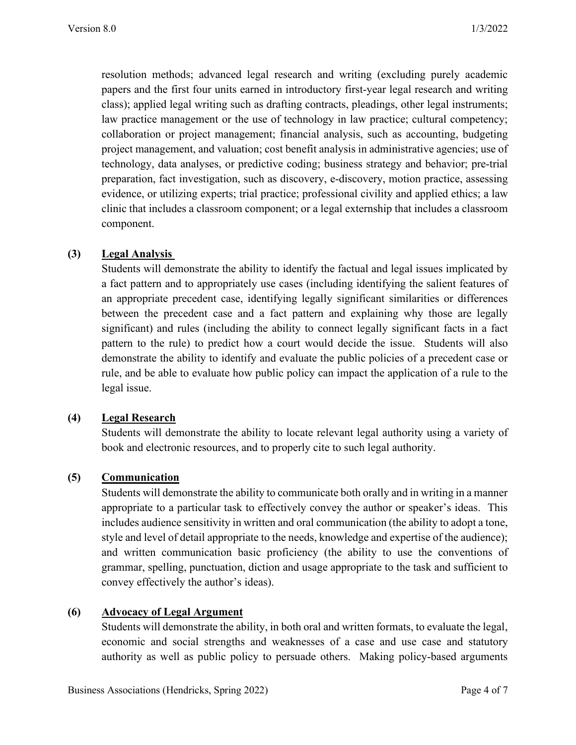resolution methods; advanced legal research and writing (excluding purely academic papers and the first four units earned in introductory first-year legal research and writing class); applied legal writing such as drafting contracts, pleadings, other legal instruments; law practice management or the use of technology in law practice; cultural competency; collaboration or project management; financial analysis, such as accounting, budgeting project management, and valuation; cost benefit analysis in administrative agencies; use of technology, data analyses, or predictive coding; business strategy and behavior; pre-trial preparation, fact investigation, such as discovery, e-discovery, motion practice, assessing evidence, or utilizing experts; trial practice; professional civility and applied ethics; a law clinic that includes a classroom component; or a legal externship that includes a classroom component.

### **(3) Legal Analysis**

Students will demonstrate the ability to identify the factual and legal issues implicated by a fact pattern and to appropriately use cases (including identifying the salient features of an appropriate precedent case, identifying legally significant similarities or differences between the precedent case and a fact pattern and explaining why those are legally significant) and rules (including the ability to connect legally significant facts in a fact pattern to the rule) to predict how a court would decide the issue. Students will also demonstrate the ability to identify and evaluate the public policies of a precedent case or rule, and be able to evaluate how public policy can impact the application of a rule to the legal issue.

### **(4) Legal Research**

Students will demonstrate the ability to locate relevant legal authority using a variety of book and electronic resources, and to properly cite to such legal authority.

### **(5) Communication**

Students will demonstrate the ability to communicate both orally and in writing in a manner appropriate to a particular task to effectively convey the author or speaker's ideas. This includes audience sensitivity in written and oral communication (the ability to adopt a tone, style and level of detail appropriate to the needs, knowledge and expertise of the audience); and written communication basic proficiency (the ability to use the conventions of grammar, spelling, punctuation, diction and usage appropriate to the task and sufficient to convey effectively the author's ideas).

### **(6) Advocacy of Legal Argument**

Students will demonstrate the ability, in both oral and written formats, to evaluate the legal, economic and social strengths and weaknesses of a case and use case and statutory authority as well as public policy to persuade others. Making policy-based arguments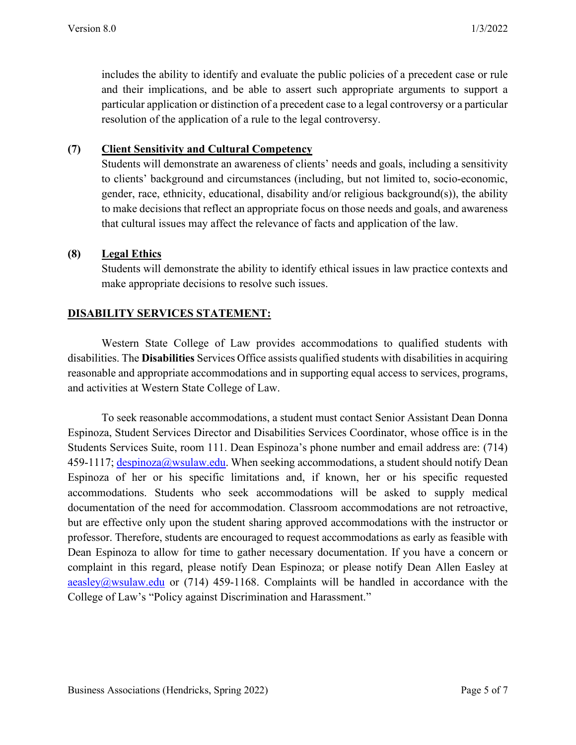includes the ability to identify and evaluate the public policies of a precedent case or rule and their implications, and be able to assert such appropriate arguments to support a particular application or distinction of a precedent case to a legal controversy or a particular resolution of the application of a rule to the legal controversy.

### **(7) Client Sensitivity and Cultural Competency**

Students will demonstrate an awareness of clients' needs and goals, including a sensitivity to clients' background and circumstances (including, but not limited to, socio-economic, gender, race, ethnicity, educational, disability and/or religious background(s)), the ability to make decisions that reflect an appropriate focus on those needs and goals, and awareness that cultural issues may affect the relevance of facts and application of the law.

## **(8) Legal Ethics**

Students will demonstrate the ability to identify ethical issues in law practice contexts and make appropriate decisions to resolve such issues.

# **DISABILITY SERVICES STATEMENT:**

Western State College of Law provides accommodations to qualified students with disabilities. The **Disabilities** Services Office assists qualified students with disabilities in acquiring reasonable and appropriate accommodations and in supporting equal access to services, programs, and activities at Western State College of Law.

To seek reasonable accommodations, a student must contact Senior Assistant Dean Donna Espinoza, Student Services Director and Disabilities Services Coordinator, whose office is in the Students Services Suite, room 111. Dean Espinoza's phone number and email address are: (714) 459-1117;  $\frac{despinoza@wsulaw.edu.$  When seeking accommodations, a student should notify Dean Espinoza of her or his specific limitations and, if known, her or his specific requested accommodations. Students who seek accommodations will be asked to supply medical documentation of the need for accommodation. Classroom accommodations are not retroactive, but are effective only upon the student sharing approved accommodations with the instructor or professor. Therefore, students are encouraged to request accommodations as early as feasible with Dean Espinoza to allow for time to gather necessary documentation. If you have a concern or complaint in this regard, please notify Dean Espinoza; or please notify Dean Allen Easley at [aeasley@wsulaw.edu](mailto:aeasley@wsulaw.edu) or  $(714)$  459-1168. Complaints will be handled in accordance with the College of Law's "Policy against Discrimination and Harassment."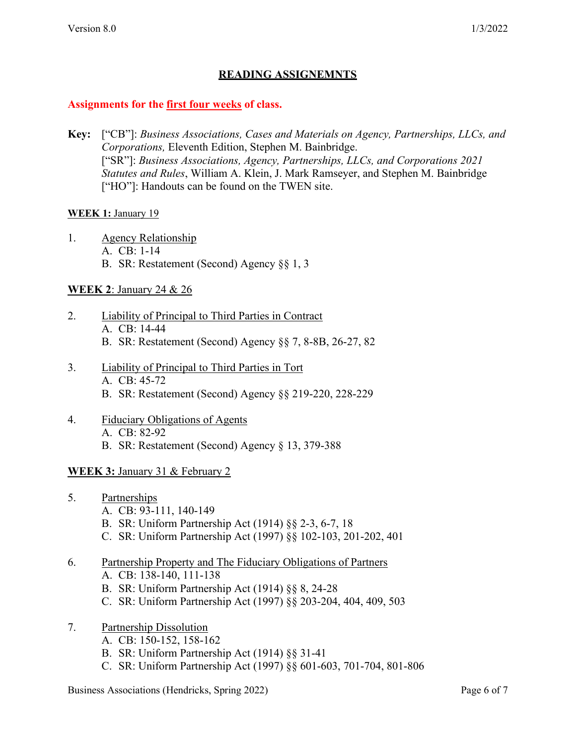# **READING ASSIGNEMNTS**

#### **Assignments for the first four weeks of class.**

**Key:** ["CB"]: *Business Associations, Cases and Materials on Agency, Partnerships, LLCs, and Corporations,* Eleventh Edition, Stephen M. Bainbridge. ["SR"]: *Business Associations, Agency, Partnerships, LLCs, and Corporations 2021 Statutes and Rules*, William A. Klein, J. Mark Ramseyer, and Stephen M. Bainbridge ["HO"]: Handouts can be found on the TWEN site.

#### **WEEK 1:** January 19

- 1. Agency Relationship
	- A. CB: 1-14
	- B. SR: Restatement (Second) Agency §§ 1, 3

### **WEEK 2**: January 24 & 26

- 2. Liability of Principal to Third Parties in Contract A. CB: 14-44 B. SR: Restatement (Second) Agency §§ 7, 8-8B, 26-27, 82
- 3. Liability of Principal to Third Parties in Tort A. CB: 45-72
	- B. SR: Restatement (Second) Agency §§ 219-220, 228-229
- 4. Fiduciary Obligations of Agents A. CB: 82-92 B. SR: Restatement (Second) Agency § 13, 379-388

### **WEEK 3:** January 31 & February 2

- 5. Partnerships
	- A. CB: 93-111, 140-149
	- B. SR: Uniform Partnership Act (1914) §§ 2-3, 6-7, 18
	- C. SR: Uniform Partnership Act (1997) §§ 102-103, 201-202, 401
- 6. Partnership Property and The Fiduciary Obligations of Partners
	- A. CB: 138-140, 111-138
	- B. SR: Uniform Partnership Act (1914) §§ 8, 24-28
	- C. SR: Uniform Partnership Act (1997) §§ 203-204, 404, 409, 503
- 7. Partnership Dissolution
	- A. CB: 150-152, 158-162
	- B. SR: Uniform Partnership Act (1914) §§ 31-41
	- C. SR: Uniform Partnership Act (1997) §§ 601-603, 701-704, 801-806

Business Associations (Hendricks, Spring 2022) Page 6 of 7